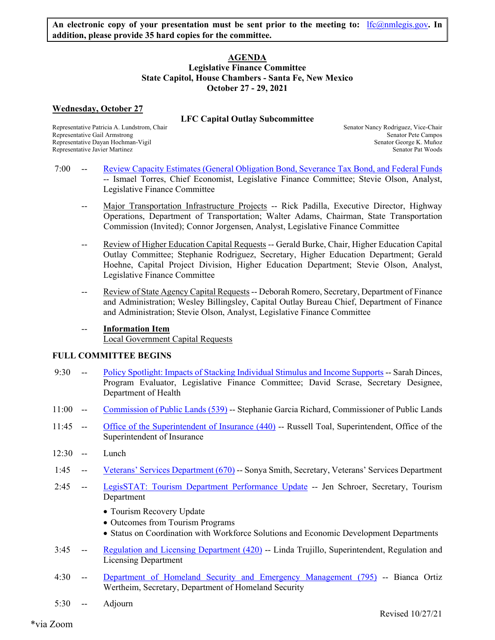## **AGENDA Legislative Finance Committee State Capitol, House Chambers - Santa Fe, New Mexico October 27 - 29, 2021**

# **Wednesday, October 27**

# **LFC Capital Outlay Subcommittee**

Representative Gail Armstrong Senator Pete Campos Senator Pete Campos Representative Dayan Hochman-Vigil Senator George K. Muñoz Representative Javier Martinez Senator Pat Woods Senator Pat Woods

Representative Patricia A. Lundstrom, Chair Senator Nancy Rodriguez, Vice-Chair Senator Nancy Rodriguez, Vice-Chair

- 7:00 -- Review Capacity Estimates (General Obligation Bond, Severance Tax Bond, and Federal Funds -- Ismael Torres, Chief Economist, Legislative Finance Committee; Stevie Olson, Analyst, Legislative Finance Committee
	- -- Major Transportation Infrastructure Projects -- Rick Padilla, Executive Director, Highway Operations, Department of Transportation; Walter Adams, Chairman, State Transportation Commission (Invited); Connor Jorgensen, Analyst, Legislative Finance Committee
	- -- Review of Higher Education Capital Requests -- Gerald Burke, Chair, Higher Education Capital Outlay Committee; Stephanie Rodriguez, Secretary, Higher Education Department; Gerald Hoehne, Capital Project Division, Higher Education Department; Stevie Olson, Analyst, Legislative Finance Committee
	- -- Review of State Agency Capital Requests -- Deborah Romero, Secretary, Department of Finance and Administration; Wesley Billingsley, Capital Outlay Bureau Chief, Department of Finance and Administration; Stevie Olson, Analyst, Legislative Finance Committee
	- **Information Item** Local Government Capital Requests

# **FULL COMMITTEE BEGINS**

- 9:30 -- Policy Spotlight: Impacts of Stacking Individual Stimulus and Income Supports -- Sarah Dinces, Program Evaluator, Legislative Finance Committee; David Scrase, Secretary Designee, Department of Health
- 11:00 -- Commission of Public Lands (539) -- Stephanie Garcia Richard, Commissioner of Public Lands
- 11:45 -- Office of the Superintendent of Insurance (440) -- Russell Toal, Superintendent, Office of the Superintendent of Insurance
- 12:30 -- Lunch
- 1:45 -- Veterans' Services Department (670) -- Sonya Smith, Secretary, Veterans' Services Department
- 2:45 -- LegisSTAT: Tourism Department Performance Update -- Jen Schroer, Secretary, Tourism Department
	- Tourism Recovery Update
	- Outcomes from Tourism Programs
	- Status on Coordination with Workforce Solutions and Economic Development Departments
- 3:45 -- Regulation and Licensing Department (420) -- Linda Trujillo, Superintendent, Regulation and Licensing Department
- 4:30 -- Department of Homeland Security and Emergency Management (795) -- Bianca Ortiz Wertheim, Secretary, Department of Homeland Security
- 5:30 -- Adjourn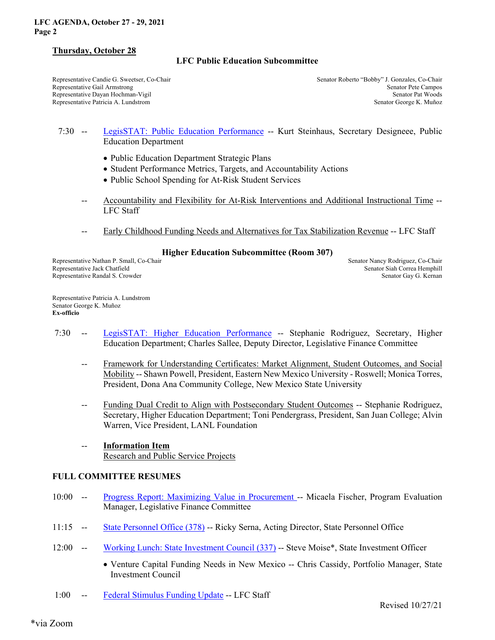#### **LFC AGENDA, October 27 - 29, 2021 Page 2**

### **Thursday, October 28**

# **LFC Public Education Subcommittee**

Representative Candie G. Sweetser, Co-Chair Senator Roberto "Bobby" J. Gonzales, Co-Chair Senator Roberto "Bobby" J. Gonzales, Co-Chair Representative Gail Armstrong Senator Pete Campos Representative Dayan Hochman-Vigil Senator Pat Woods Senator Pat Woods Representative Patricia A. Lundstrom Senator George K. Muñoz

## 7:30 -- LegisSTAT: Public Education Performance -- Kurt Steinhaus, Secretary Designeee, Public Education Department

- Public Education Department Strategic Plans
- Student Performance Metrics, Targets, and Accountability Actions
- Public School Spending for At-Risk Student Services
- -- Accountability and Flexibility for At-Risk Interventions and Additional Instructional Time -- LFC Staff
- Early Childhood Funding Needs and Alternatives for Tax Stabilization Revenue -- LFC Staff

### **Higher Education Subcommittee (Room 307)**

Representative Nathan P. Small, Co-Chair Senator Nancy Rodriguez, Co-Chair Senator Nancy Rodriguez, Co-Chair Representative Jack Chatfield Senator Siah Correa Hemphill Representative Randal S. Crowder Senator Gay G. Kernan Senator Gay G. Kernan Senator Gay G. Kernan

Representative Patricia A. Lundstrom Senator George K. Muñoz **Ex-officio**

- 7:30 -- LegisSTAT: Higher Education Performance -- Stephanie Rodriguez, Secretary, Higher Education Department; Charles Sallee, Deputy Director, Legislative Finance Committee
	- -- Framework for Understanding Certificates: Market Alignment, Student Outcomes, and Social Mobility -- Shawn Powell, President, Eastern New Mexico University - Roswell; Monica Torres, President, Dona Ana Community College, New Mexico State University
	- Funding Dual Credit to Align with Postsecondary Student Outcomes -- Stephanie Rodriguez, Secretary, Higher Education Department; Toni Pendergrass, President, San Juan College; Alvin Warren, Vice President, LANL Foundation
	- **Information Item** Research and Public Service Projects

### **FULL COMMITTEE RESUMES**

- 10:00 -- Progress Report: Maximizing Value in Procurement -- Micaela Fischer, Program Evaluation Manager, Legislative Finance Committee
- 11:15 -- State Personnel Office (378) -- Ricky Serna, Acting Director, State Personnel Office
- 12:00 -- Working Lunch: State Investment Council (337) -- Steve Moise\*, State Investment Officer
	- Venture Capital Funding Needs in New Mexico -- Chris Cassidy, Portfolio Manager, State Investment Council
- 1:00 -- Federal Stimulus Funding Update -- LFC Staff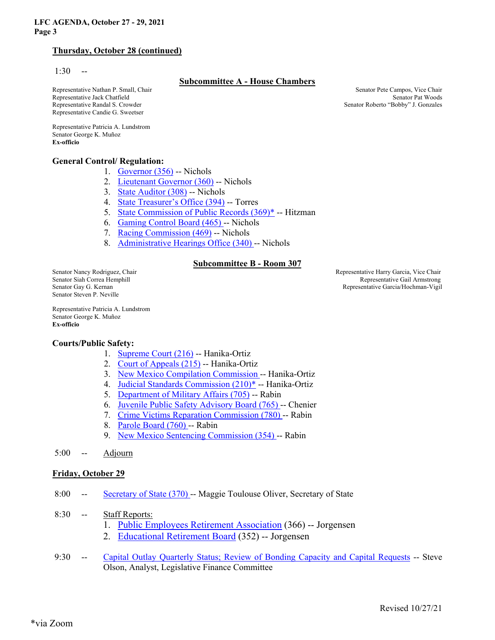### **LFC AGENDA, October 27 - 29, 2021 Page 3**

# **Thursday, October 28 (continued)**

 $1:30 - -$ 

### **Subcommittee A - House Chambers**

Representative Nathan P. Small, Chair Senator Pete Campos, Vice Chair Senator Pete Campos, Vice Chair Representative Jack Chatfield Senator Pat Woods Senator Pat Woods Representative Randal S. Crowder Senator Roberto "Bobby" J. Gonzales Representative Candie G. Sweetser

Representative Patricia A. Lundstrom Senator George K. Muñoz **Ex-officio** 

### **General Control/ Regulation:**

- 1. Governor (356) -- Nichols
- 2. Lieutenant Governor (360) -- Nichols
- 3. State Auditor (308) -- Nichols
- 4. State Treasurer's Office (394) -- Torres
- 5. State Commission of Public Records (369)\* -- Hitzman
- 6. Gaming Control Board (465) -- Nichols
- 7. Racing Commission (469) -- Nichols
- 8. Administrative Hearings Office (340) -- Nichols

### **Subcommittee B - Room 307**

Senator Steven P. Neville

Senator Nancy Rodriguez, Chair **Senator Nancy Rodriguez, Chair** Representative Harry Garcia, Vice Chair **Senator Siah Correa Hemphill** Representative Gail Armstrong Senator Gay G. Kernan Representative Garcia/Hochman-Vigil

Representative Patricia A. Lundstrom Senator George K. Muñoz **Ex-officio**

### **Courts/Public Safety:**

- 1. Supreme Court (216) -- Hanika-Ortiz
- 2. Court of Appeals (215) -- Hanika-Ortiz
- 3. New Mexico Compilation Commission -- Hanika-Ortiz
- 4. Judicial Standards Commission (210)\* -- Hanika-Ortiz
- 5. Department of Military Affairs (705) -- Rabin
- 6. Juvenile Public Safety Advisory Board (765) -- Chenier
- 7. Crime Victims Reparation Commission (780) -- Rabin
- 8. Parole Board (760) -- Rabin
- 9. New Mexico Sentencing Commission (354) -- Rabin
- 5:00 -- Adjourn

### **Friday, October 29**

- 8:00 -- Secretary of State (370) -- Maggie Toulouse Oliver, Secretary of State
- 8:30 -- Staff Reports:
	- 1. Public Employees Retirement Association (366) -- Jorgensen
	- 2. Educational Retirement Board (352) -- Jorgensen
- 9:30 -- Capital Outlay Quarterly Status; Review of Bonding Capacity and Capital Requests -- Steve Olson, Analyst, Legislative Finance Committee